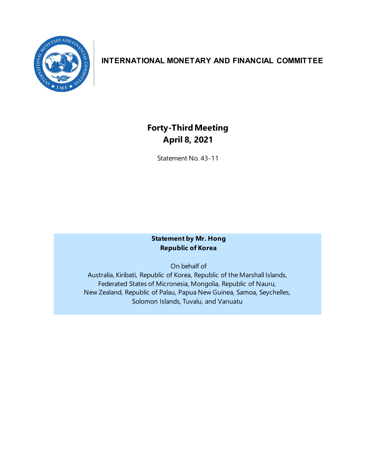

## **INTERNATIONAL MONETARY AND FINANCIAL COMMITTEE**

# **Forty-ThirdMeeting April 8, 2021**

Statement No. 43-11

#### **Statement by Mr. Hong Republic of Korea**

On behalf of

Australia, Kiribati, Republic of Korea, Republic of the Marshall Islands, Federated States of Micronesia, Mongolia, Republic of Nauru, New Zealand, Republic of Palau, Papua New Guinea, Samoa, Seychelles, Solomon Islands, Tuvalu, and Vanuatu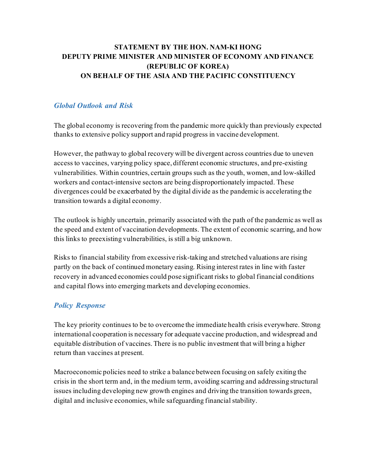## **STATEMENT BY THE HON. NAM-KI HONG DEPUTY PRIME MINISTER AND MINISTER OF ECONOMY AND FINANCE (REPUBLIC OF KOREA) ON BEHALF OF THE ASIA AND THE PACIFIC CONSTITUENCY**

### *Global Outlook and Risk*

The global economy is recovering from the pandemic more quickly than previously expected thanks to extensive policy support and rapid progress in vaccine development.

However, the pathway to global recovery will be divergent across countries due to uneven access to vaccines, varying policy space, different economic structures, and pre-existing vulnerabilities. Within countries, certain groups such as the youth, women, and low-skilled workers and contact-intensive sectors are being disproportionately impacted. These divergences could be exacerbated by the digital divide as the pandemic is accelerating the transition towards a digital economy.

The outlook is highly uncertain, primarily associated with the path of the pandemic as well as the speed and extent of vaccination developments. The extent of economic scarring, and how this links to preexisting vulnerabilities, is still a big unknown.

Risks to financial stability from excessive risk-taking and stretched valuations are rising partly on the back of continued monetary easing. Rising interest rates in line with faster recovery in advanced economies could pose significant risks to global financial conditions and capital flows into emerging markets and developing economies.

#### *Policy Response*

The key priority continues to be to overcome the immediate health crisis everywhere. Strong international cooperation is necessary for adequate vaccine production, and widespread and equitable distribution of vaccines. There is no public investment that will bring a higher return than vaccines at present.

Macroeconomic policies need to strike a balance between focusing on safely exiting the crisis in the short term and, in the medium term, avoiding scarring and addressing structural issues including developing new growth engines and driving the transition towards green, digital and inclusive economies, while safeguarding financial stability.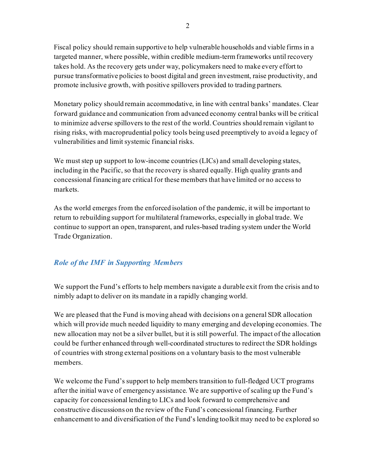Fiscal policy should remain supportive to help vulnerable households and viable firms in a targeted manner, where possible, within credible medium-term frameworks until recovery takes hold. As the recovery gets under way, policymakers need to make every effort to pursue transformative policies to boost digital and green investment, raise productivity, and promote inclusive growth, with positive spillovers provided to trading partners.

Monetary policy should remain accommodative, in line with central banks' mandates. Clear forward guidance and communication from advanced economy central banks will be critical to minimize adverse spillovers to the rest of the world. Countries should remain vigilant to rising risks, with macroprudential policy tools being used preemptively to avoid a legacy of vulnerabilities and limit systemic financial risks.

We must step up support to low-income countries (LICs) and small developing states, including in the Pacific, so that the recovery is shared equally. High quality grants and concessional financing are critical for these members that have limited or no access to markets.

As the world emerges from the enforced isolation of the pandemic, it will be important to return to rebuilding support for multilateral frameworks, especially in global trade. We continue to support an open, transparent, and rules-based trading system under the World Trade Organization.

## *Role of the IMF in Supporting Members*

We support the Fund's efforts to help members navigate a durable exit from the crisis and to nimbly adapt to deliver on its mandate in a rapidly changing world.

We are pleased that the Fund is moving ahead with decisions on a general SDR allocation which will provide much needed liquidity to many emerging and developing economies. The new allocation may not be a silver bullet, but it is still powerful. The impact of the allocation could be further enhanced through well-coordinated structures to redirect the SDR holdings of countries with strong external positions on a voluntary basis to the most vulnerable members.

We welcome the Fund's support to help members transition to full-fledged UCT programs after the initial wave of emergency assistance. We are supportive of scaling up the Fund's capacity for concessional lending to LICs and look forward to comprehensive and constructive discussions on the review of the Fund's concessional financing. Further enhancement to and diversification of the Fund's lending toolkit may need to be explored so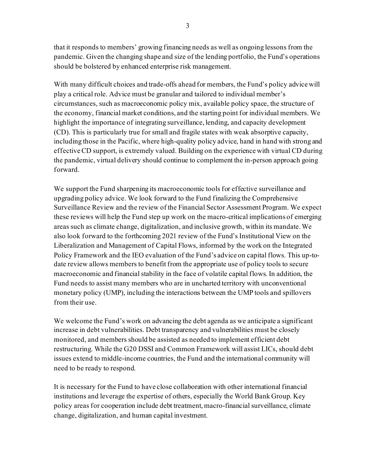that it responds to members' growing financing needs as well as ongoing lessons from the pandemic. Given the changing shape and size of the lending portfolio, the Fund's operations should be bolstered by enhanced enterprise risk management.

With many difficult choices and trade-offs ahead for members, the Fund's policy advice will play a critical role. Advice must be granular and tailored to individual member's circumstances, such as macroeconomic policy mix, available policy space, the structure of the economy, financial market conditions, and the starting point for individual members. We highlight the importance of integrating surveillance, lending, and capacity development (CD). This is particularly true for small and fragile states with weak absorptive capacity, including those in the Pacific, where high-quality policy advice, hand in hand with strong and effective CD support, is extremely valued. Building on the experience with virtual CD during the pandemic, virtual delivery should continue to complement the in-person approach going forward.

We support the Fund sharpening its macroeconomic tools for effective surveillance and upgrading policy advice. We look forward to the Fund finalizing the Comprehensive Surveillance Review and the review of the Financial Sector Assessment Program. We expect these reviews will help the Fund step up work on the macro-critical implications of emerging areas such as climate change, digitalization, and inclusive growth, within its mandate. We also look forward to the forthcoming 2021 review of the Fund's Institutional View on the Liberalization and Management of Capital Flows, informed by the work on the Integrated Policy Framework and the IEO evaluation of the Fund's advice on capital flows. This up-todate review allows members to benefit from the appropriate use of policy tools to secure macroeconomic and financial stability in the face of volatile capital flows. In addition, the Fund needs to assist many members who are in uncharted territory with unconventional monetary policy (UMP), including the interactions between the UMP tools and spillovers from their use.

We welcome the Fund's work on advancing the debt agenda as we anticipate a significant increase in debt vulnerabilities. Debt transparency and vulnerabilities must be closely monitored, and members should be assisted as needed to implement efficient debt restructuring. While the G20 DSSI and Common Framework will assist LICs, should debt issues extend to middle-income countries, the Fund and the international community will need to be ready to respond.

It is necessary for the Fund to have close collaboration with other international financial institutions and leverage the expertise of others, especially the World Bank Group. Key policy areas for cooperation include debt treatment, macro-financial surveillance, climate change, digitalization, and human capital investment.